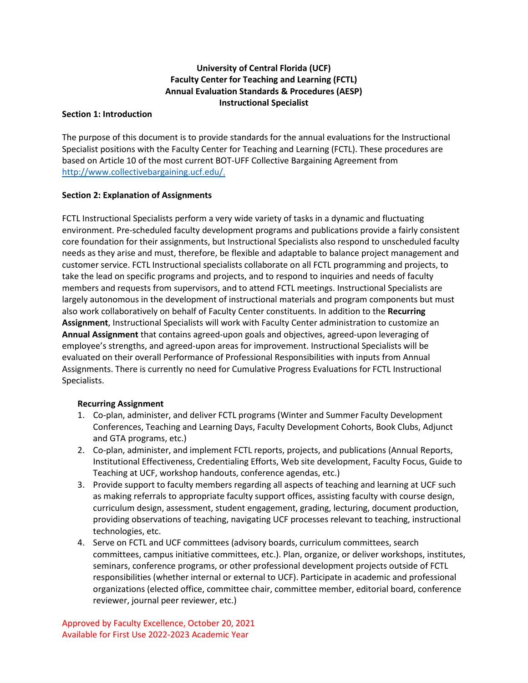# **University of Central Florida (UCF) Faculty Center for Teaching and Learning (FCTL) Annual Evaluation Standards & Procedures (AESP) Instructional Specialist**

#### **Section 1: Introduction**

The purpose of this document is to provide standards for the annual evaluations for the Instructional Specialist positions with the Faculty Center for Teaching and Learning (FCTL). These procedures are based on Article 10 of the most current BOT-UFF Collective Bargaining Agreement from [http://www.collectivebargaining.ucf.edu/.](http://www.collectivebargaining.ucf.edu/)

## **Section 2: Explanation of Assignments**

FCTL Instructional Specialists perform a very wide variety of tasks in a dynamic and fluctuating environment. Pre-scheduled faculty development programs and publications provide a fairly consistent core foundation for their assignments, but Instructional Specialists also respond to unscheduled faculty needs as they arise and must, therefore, be flexible and adaptable to balance project management and customer service. FCTL Instructional specialists collaborate on all FCTL programming and projects, to take the lead on specific programs and projects, and to respond to inquiries and needs of faculty members and requests from supervisors, and to attend FCTL meetings. Instructional Specialists are largely autonomous in the development of instructional materials and program components but must also work collaboratively on behalf of Faculty Center constituents. In addition to the **Recurring Assignment**, Instructional Specialists will work with Faculty Center administration to customize an **Annual Assignment** that contains agreed-upon goals and objectives, agreed-upon leveraging of employee's strengths, and agreed-upon areas for improvement. Instructional Specialists will be evaluated on their overall Performance of Professional Responsibilities with inputs from Annual Assignments. There is currently no need for Cumulative Progress Evaluations for FCTL Instructional Specialists.

# **Recurring Assignment**

- 1. Co-plan, administer, and deliver FCTL programs (Winter and Summer Faculty Development Conferences, Teaching and Learning Days, Faculty Development Cohorts, Book Clubs, Adjunct and GTA programs, etc.)
- 2. Co-plan, administer, and implement FCTL reports, projects, and publications (Annual Reports, Institutional Effectiveness, Credentialing Efforts, Web site development, Faculty Focus, Guide to Teaching at UCF, workshop handouts, conference agendas, etc.)
- 3. Provide support to faculty members regarding all aspects of teaching and learning at UCF such as making referrals to appropriate faculty support offices, assisting faculty with course design, curriculum design, assessment, student engagement, grading, lecturing, document production, providing observations of teaching, navigating UCF processes relevant to teaching, instructional technologies, etc.
- 4. Serve on FCTL and UCF committees (advisory boards, curriculum committees, search committees, campus initiative committees, etc.). Plan, organize, or deliver workshops, institutes, seminars, conference programs, or other professional development projects outside of FCTL responsibilities (whether internal or external to UCF). Participate in academic and professional organizations (elected office, committee chair, committee member, editorial board, conference reviewer, journal peer reviewer, etc.)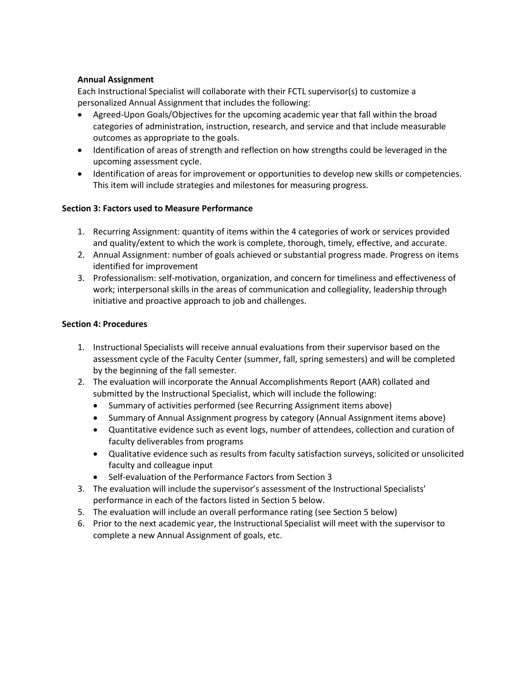#### **Annual Assignment**

Each Instructional Specialist will collaborate with their FCTL supervisor(s) to customize a personalized Annual Assignment that includes the following:

- Agreed-Upon Goals/Objectives for the upcoming academic year that fall within the broad categories of administration, instruction, research, and service and that include measurable outcomes as appropriate to the goals.
- Identification of areas of strength and reflection on how strengths could be leveraged in the upcoming assessment cycle.
- Identification of areas for improvement or opportunities to develop new skills or competencies. This item will include strategies and milestones for measuring progress.

## **Section 3: Factors used to Measure Performance**

- 1. Recurring Assignment: quantity of items within the 4 categories of work or services provided and quality/extent to which the work is complete, thorough, timely, effective, and accurate.
- 2. Annual Assignment: number of goals achieved or substantial progress made. Progress on items identified for improvement
- 3. Professionalism: self-motivation, organization, and concern for timeliness and effectiveness of work; interpersonal skills in the areas of communication and collegiality, leadership through initiative and proactive approach to job and challenges.

#### **Section 4: Procedures**

- 1. Instructional Specialists will receive annual evaluations from their supervisor based on the assessment cycle of the Faculty Center (summer, fall, spring semesters) and will be completed by the beginning of the fall semester.
- 2. The evaluation will incorporate the Annual Accomplishments Report (AAR) collated and submitted by the Instructional Specialist, which will include the following:
	- Summary of activities performed (see Recurring Assignment items above)
	- Summary of Annual Assignment progress by category (Annual Assignment items above)
	- Quantitative evidence such as event logs, number of attendees, collection and curation of faculty deliverables from programs
	- Qualitative evidence such as results from faculty satisfaction surveys, solicited or unsolicited faculty and colleague input
	- Self-evaluation of the Performance Factors from Section 3
- 3. The evaluation will include the supervisor's assessment of the Instructional Specialists' performance in each of the factors listed in Section 5 below.
- 5. The evaluation will include an overall performance rating (see Section 5 below)
- 6. Prior to the next academic year, the Instructional Specialist will meet with the supervisor to complete a new Annual Assignment of goals, etc.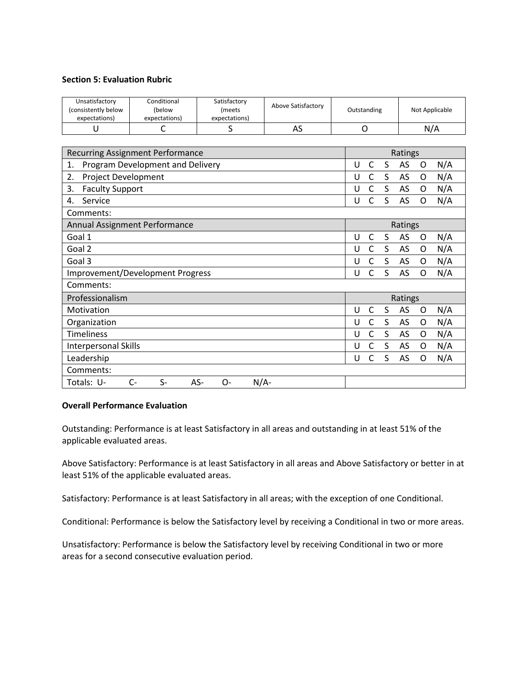#### **Section 5: Evaluation Rubric**

| Unsatisfactory<br>(consistently below<br>expectations) | Conditional<br>(below<br>expectations) | Satisfactory<br><i>(meets</i><br>expectations) | Above Satisfactory | Outstanding            | Not Applicable        |  |  |
|--------------------------------------------------------|----------------------------------------|------------------------------------------------|--------------------|------------------------|-----------------------|--|--|
| U                                                      | C                                      | S                                              | AS                 | O                      | N/A                   |  |  |
|                                                        |                                        |                                                |                    |                        |                       |  |  |
| <b>Recurring Assignment Performance</b>                |                                        |                                                |                    |                        | Ratings               |  |  |
| Program Development and Delivery<br>1.                 |                                        |                                                |                    | $\mathsf{C}$<br>S<br>U | AS<br>N/A<br>O        |  |  |
| <b>Project Development</b><br>2.                       |                                        |                                                |                    | $\mathsf{C}$<br>S<br>U | AS<br>N/A<br>O        |  |  |
| 3.<br><b>Faculty Support</b>                           |                                        |                                                |                    | C<br>S<br>U            | N/A<br>AS<br>O        |  |  |
| Service<br>4.                                          |                                        |                                                |                    | C<br>S<br>U            | N/A<br>AS<br>$\Omega$ |  |  |
| Comments:                                              |                                        |                                                |                    |                        |                       |  |  |
| Annual Assignment Performance                          |                                        |                                                |                    |                        | Ratings               |  |  |
| Goal 1                                                 |                                        |                                                |                    | S<br>U<br>C            | AS<br>N/A<br>O        |  |  |
| Goal 2                                                 |                                        |                                                |                    | C<br>S<br>U            | N/A<br>AS<br>O        |  |  |
| Goal 3                                                 |                                        |                                                |                    | $\mathsf{C}$<br>S<br>U | AS<br>N/A<br>O        |  |  |
| Improvement/Development Progress                       |                                        |                                                |                    | S<br>$\mathsf{C}$<br>U | N/A<br>AS<br>O        |  |  |
| Comments:                                              |                                        |                                                |                    |                        |                       |  |  |
| Professionalism                                        |                                        |                                                |                    |                        | Ratings               |  |  |
| Motivation                                             |                                        |                                                |                    | C<br>S<br>U            | AS<br>N/A<br>0        |  |  |
| Organization                                           |                                        |                                                |                    | S<br>C<br>U            | AS<br>N/A<br>0        |  |  |
| <b>Timeliness</b>                                      |                                        |                                                |                    | $\mathsf{C}$<br>S<br>U | AS<br>N/A<br>0        |  |  |
| <b>Interpersonal Skills</b>                            |                                        |                                                |                    | C<br>S<br>U            | N/A<br>AS<br>O        |  |  |
| Leadership                                             |                                        |                                                |                    | S<br>C<br>U            | AS<br>N/A<br>O        |  |  |
| Comments:                                              |                                        |                                                |                    |                        |                       |  |  |
| Totals: U-                                             | $C-$<br>$S-$<br>AS-                    | $\Omega$ -                                     | $N/A$ -            |                        |                       |  |  |

#### **Overall Performance Evaluation**

Outstanding: Performance is at least Satisfactory in all areas and outstanding in at least 51% of the applicable evaluated areas.

Above Satisfactory: Performance is at least Satisfactory in all areas and Above Satisfactory or better in at least 51% of the applicable evaluated areas.

Satisfactory: Performance is at least Satisfactory in all areas; with the exception of one Conditional.

Conditional: Performance is below the Satisfactory level by receiving a Conditional in two or more areas.

Unsatisfactory: Performance is below the Satisfactory level by receiving Conditional in two or more areas for a second consecutive evaluation period.